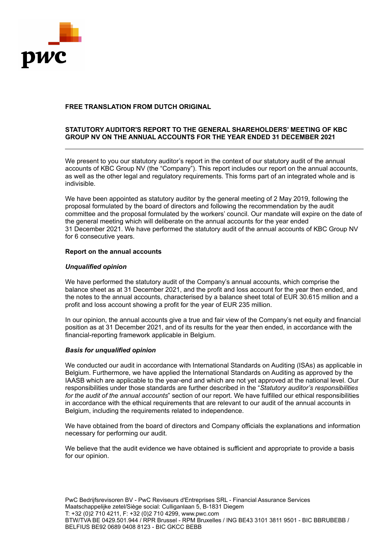

# **STATUTORY AUDITOR'S REPORT TO THE GENERAL SHAREHOLDERS' MEETING OF KBC GROUP NV ON THE ANNUAL ACCOUNTS FOR THE YEAR ENDED 31 DECEMBER 2021**

We present to you our statutory auditor's report in the context of our statutory audit of the annual accounts of KBC Group NV (the "Company"). This report includes our report on the annual accounts, as well as the other legal and regulatory requirements. This forms part of an integrated whole and is indivisible.

We have been appointed as statutory auditor by the general meeting of 2 May 2019, following the proposal formulated by the board of directors and following the recommendation by the audit committee and the proposal formulated by the workers' council. Our mandate will expire on the date of the general meeting which will deliberate on the annual accounts for the year ended 31 December 2021. We have performed the statutory audit of the annual accounts of KBC Group NV for 6 consecutive years.

### **Report on the annual accounts**

## *Unqualified opinion*

We have performed the statutory audit of the Company's annual accounts, which comprise the balance sheet as at 31 December 2021, and the profit and loss account for the year then ended, and the notes to the annual accounts, characterised by a balance sheet total of EUR 30.615 million and a profit and loss account showing a profit for the year of EUR 235 million.

In our opinion, the annual accounts give a true and fair view of the Company's net equity and financial position as at 31 December 2021, and of its results for the year then ended, in accordance with the financial-reporting framework applicable in Belgium.

### *Basis for unqualified opinion*

We conducted our audit in accordance with International Standards on Auditing (ISAs) as applicable in Belgium. Furthermore, we have applied the International Standards on Auditing as approved by the IAASB which are applicable to the year-end and which are not yet approved at the national level. Our responsibilities under those standards are further described in the "*Statutory auditor's responsibilities for the audit of the annual accounts*" section of our report. We have fulfilled our ethical responsibilities in accordance with the ethical requirements that are relevant to our audit of the annual accounts in Belgium, including the requirements related to independence.

We have obtained from the board of directors and Company officials the explanations and information necessary for performing our audit.

We believe that the audit evidence we have obtained is sufficient and appropriate to provide a basis for our opinion.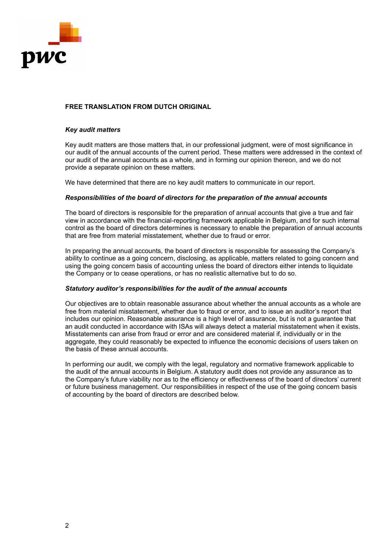

### *Key audit matters*

Key audit matters are those matters that, in our professional judgment, were of most significance in our audit of the annual accounts of the current period. These matters were addressed in the context of our audit of the annual accounts as a whole, and in forming our opinion thereon, and we do not provide a separate opinion on these matters.

We have determined that there are no key audit matters to communicate in our report.

## *Responsibilities of the board of directors for the preparation of the annual accounts*

The board of directors is responsible for the preparation of annual accounts that give a true and fair view in accordance with the financial-reporting framework applicable in Belgium, and for such internal control as the board of directors determines is necessary to enable the preparation of annual accounts that are free from material misstatement, whether due to fraud or error.

In preparing the annual accounts, the board of directors is responsible for assessing the Company's ability to continue as a going concern, disclosing, as applicable, matters related to going concern and using the going concern basis of accounting unless the board of directors either intends to liquidate the Company or to cease operations, or has no realistic alternative but to do so.

### *Statutory auditor's responsibilities for the audit of the annual accounts*

Our objectives are to obtain reasonable assurance about whether the annual accounts as a whole are free from material misstatement, whether due to fraud or error, and to issue an auditor's report that includes our opinion. Reasonable assurance is a high level of assurance, but is not a guarantee that an audit conducted in accordance with ISAs will always detect a material misstatement when it exists. Misstatements can arise from fraud or error and are considered material if, individually or in the aggregate, they could reasonably be expected to influence the economic decisions of users taken on the basis of these annual accounts.

In performing our audit, we comply with the legal, regulatory and normative framework applicable to the audit of the annual accounts in Belgium. A statutory audit does not provide any assurance as to the Company's future viability nor as to the efficiency or effectiveness of the board of directors' current or future business management. Our responsibilities in respect of the use of the going concern basis of accounting by the board of directors are described below.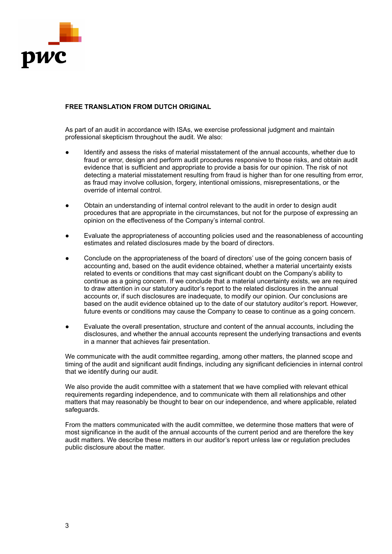

As part of an audit in accordance with ISAs, we exercise professional judgment and maintain professional skepticism throughout the audit. We also:

- Identify and assess the risks of material misstatement of the annual accounts, whether due to fraud or error, design and perform audit procedures responsive to those risks, and obtain audit evidence that is sufficient and appropriate to provide a basis for our opinion. The risk of not detecting a material misstatement resulting from fraud is higher than for one resulting from error, as fraud may involve collusion, forgery, intentional omissions, misrepresentations, or the override of internal control.
- Obtain an understanding of internal control relevant to the audit in order to design audit procedures that are appropriate in the circumstances, but not for the purpose of expressing an opinion on the effectiveness of the Company's internal control.
- Evaluate the appropriateness of accounting policies used and the reasonableness of accounting estimates and related disclosures made by the board of directors.
- Conclude on the appropriateness of the board of directors' use of the going concern basis of accounting and, based on the audit evidence obtained, whether a material uncertainty exists related to events or conditions that may cast significant doubt on the Company's ability to continue as a going concern. If we conclude that a material uncertainty exists, we are required to draw attention in our statutory auditor's report to the related disclosures in the annual accounts or, if such disclosures are inadequate, to modify our opinion. Our conclusions are based on the audit evidence obtained up to the date of our statutory auditor's report. However, future events or conditions may cause the Company to cease to continue as a going concern.
- Evaluate the overall presentation, structure and content of the annual accounts, including the disclosures, and whether the annual accounts represent the underlying transactions and events in a manner that achieves fair presentation.

We communicate with the audit committee regarding, among other matters, the planned scope and timing of the audit and significant audit findings, including any significant deficiencies in internal control that we identify during our audit.

We also provide the audit committee with a statement that we have complied with relevant ethical requirements regarding independence, and to communicate with them all relationships and other matters that may reasonably be thought to bear on our independence, and where applicable, related safeguards.

From the matters communicated with the audit committee, we determine those matters that were of most significance in the audit of the annual accounts of the current period and are therefore the key audit matters. We describe these matters in our auditor's report unless law or regulation precludes public disclosure about the matter.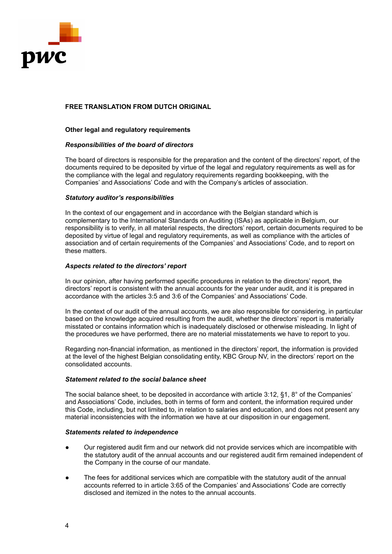

## **Other legal and regulatory requirements**

### *Responsibilities of the board of directors*

The board of directors is responsible for the preparation and the content of the directors' report, of the documents required to be deposited by virtue of the legal and regulatory requirements as well as for the compliance with the legal and regulatory requirements regarding bookkeeping, with the Companies' and Associations' Code and with the Company's articles of association.

## *Statutory auditor's responsibilities*

In the context of our engagement and in accordance with the Belgian standard which is complementary to the International Standards on Auditing (ISAs) as applicable in Belgium, our responsibility is to verify, in all material respects, the directors' report, certain documents required to be deposited by virtue of legal and regulatory requirements, as well as compliance with the articles of association and of certain requirements of the Companies' and Associations' Code, and to report on these matters.

## *Aspects related to the directors' report*

In our opinion, after having performed specific procedures in relation to the directors' report, the directors' report is consistent with the annual accounts for the year under audit, and it is prepared in accordance with the articles 3:5 and 3:6 of the Companies' and Associations' Code.

In the context of our audit of the annual accounts, we are also responsible for considering, in particular based on the knowledge acquired resulting from the audit, whether the directors' report is materially misstated or contains information which is inadequately disclosed or otherwise misleading. In light of the procedures we have performed, there are no material misstatements we have to report to you.

Regarding non-financial information, as mentioned in the directors' report, the information is provided at the level of the highest Belgian consolidating entity, KBC Group NV, in the directors' report on the consolidated accounts.

## *Statement related to the social balance sheet*

The social balance sheet, to be deposited in accordance with article 3:12, §1, 8° of the Companies' and Associations' Code, includes, both in terms of form and content, the information required under this Code, including, but not limited to, in relation to salaries and education, and does not present any material inconsistencies with the information we have at our disposition in our engagement.

### *Statements related to independence*

- Our registered audit firm and our network did not provide services which are incompatible with the statutory audit of the annual accounts and our registered audit firm remained independent of the Company in the course of our mandate.
- The fees for additional services which are compatible with the statutory audit of the annual accounts referred to in article 3:65 of the Companies' and Associations' Code are correctly disclosed and itemized in the notes to the annual accounts.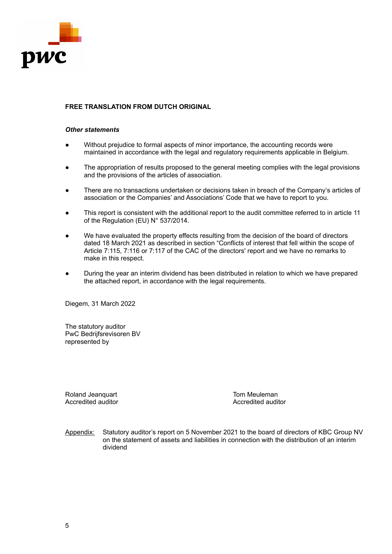

### *Other statements*

- Without prejudice to formal aspects of minor importance, the accounting records were maintained in accordance with the legal and regulatory requirements applicable in Belgium.
- The appropriation of results proposed to the general meeting complies with the legal provisions and the provisions of the articles of association.
- There are no transactions undertaken or decisions taken in breach of the Company's articles of association or the Companies' and Associations' Code that we have to report to you.
- This report is consistent with the additional report to the audit committee referred to in article 11 of the Regulation (EU) N° 537/2014.
- We have evaluated the property effects resulting from the decision of the board of directors dated 18 March 2021 as described in section "Conflicts of interest that fell within the scope of Article 7:115, 7:116 or 7:117 of the CAC of the directors' report and we have no remarks to make in this respect.
- During the year an interim dividend has been distributed in relation to which we have prepared the attached report, in accordance with the legal requirements.

Diegem, 31 March 2022

The statutory auditor PwC Bedrijfsrevisoren BV represented by

Roland Jeanquart **Tom Meuleman**<br>Accredited auditor **The Contract of Accredited auditor** 

Accredited auditor

Appendix: Statutory auditor's report on 5 November 2021 to the board of directors of KBC Group NV on the statement of assets and liabilities in connection with the distribution of an interim dividend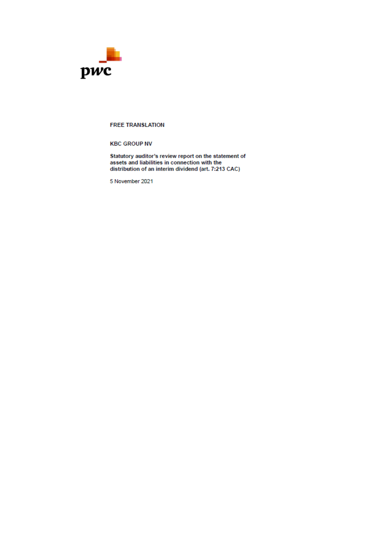

#### **FREE TRANSLATION**

**KBC GROUP NV** 

Statutory auditor's review report on the statement of<br>assets and liabilities in connection with the distribution of an interim dividend (art. 7:213 CAC)

5 November 2021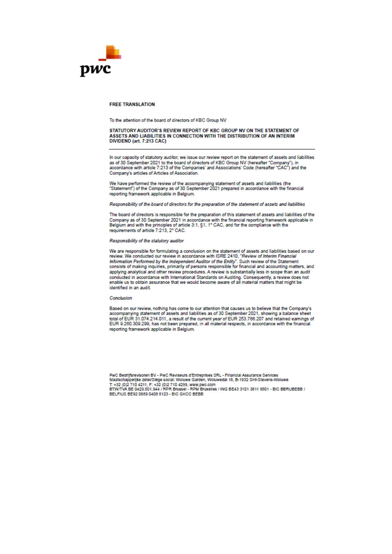

#### **ERFF TRANSLATION**

To the attention of the board of directors of KBC Group NV

# STATUTORY AUDITOR'S REVIEW REPORT OF KBC GROUP NV ON THE STATEMENT OF ASSETS AND LIABILITIES IN CONNECTION WITH THE DISTRIBUTION OF AN INTERIM DIVIDEND (art. 7:213 CAC)

In our capacity of statutory auditor, we issue our review report on the statement of assets and liabilities and the board of directors of KBC Group NV (hereafter "Company"), in<br>accordance with article 7:213 of the board of directors of KBC Group NV (hereafter "Company"), in<br>accordance with article 7:213 of the Companies' and Ass Company's articles of Articles of Association.

We have performed the review of the accompanying statement of assets and liabilities (the<br>"Statement") of the Company as of 30 September 2021 prepared in accordance with the financial reporting framework applicable in Belgium.

Responsibility of the board of directors for the preparation of the statement of assets and liabilities

The board of directors is responsible for the preparation of this statement of assets and liabilities of the Company as of 30 September 2021 in accordance with the financial reporting framework applicable in<br>Belgium and with the principles of article 3:1, §1, 1° CAC, and for the compliance with the requirements of article 7:213, 2° CAC.

#### Responsibility of the statutory auditor

We are responsible for formulating a conclusion on the statement of assets and liabilities based on our review. We conducted our review in accordance with ISRE 2410, "Review of Interim Financial Information Performed by the Independent Auditor of the Entity". Such review of the Statement<br>consists of making inquiries, primarily of persons responsible for financial and accounting matters, and applying analytical and other review procedures. A review is substantially less in scope than an audit appropriate anywar and outer teview procedures. A review is studied conducted in accordance with international Standards on Auditing. Consequently, a review does not enable us to obtain assurance that we would become aware identified in an audit.

#### Conclusion

Based on our review, nothing has come to our attention that causes us to believe that the Company's accompanying statement of assets and liabilities as of 30 September 2021, showing a balance sheet total of EUR 31.074.214.011, a result of the current year of EUR 253.766.207 and retained earnings of<br>EUR 9.260.309.299, has not been prepared, in all material respects, in accordance with the financial reporting framework applicable in Belgium.

PWC Bedriffsrevisoren BV - PWC Reviseurs d'Entreprises SRL - Financial Assurance Services - Maatschappelijke zetel/Siège social: Woluwe Garden, Woluwedal 18, B-1932 Sint-Stevens-Woluwe<br>T. +32 (0)2 710 4211, F: +32 (0)2 710 4299, www.pwc.com<br>BTW/TVA BE 0429.501.944 / RPR Brussel - RPM Bruxelles / ING BE43 3101 3 BELFIUS BE92 0689 0408 8123 - BIC GKCC BEBB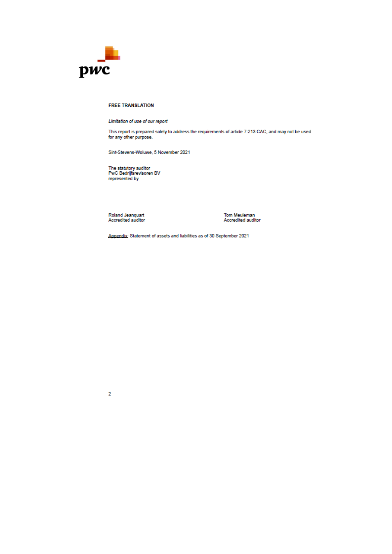

#### **FREE TRANSLATION**

Limitation of use of our report

This report is prepared solely to address the requirements of article 7:213 CAC, and may not be used for any other purpose.

Sint-Stevens-Woluwe, 5 November 2021

The statutory auditor<br>PwC Bedrijfsrevisoren BV represented by

Roland Jeanquart<br>Accredited auditor

Tom Meuleman<br>Accredited auditor

Appendix: Statement of assets and liabilities as of 30 September 2021

 $\overline{2}$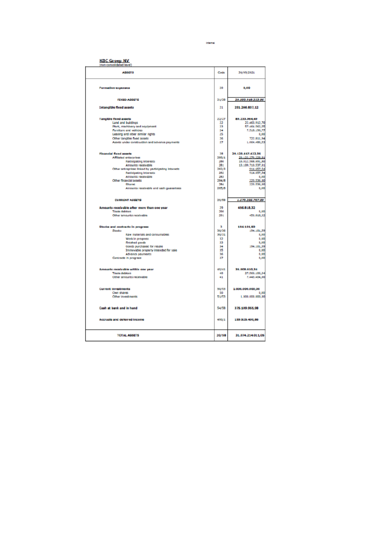**Internal** 

**KBC Groep NV** 

| ASSETS.                                                  | Code     | 30/09/2021                    |
|----------------------------------------------------------|----------|-------------------------------|
| Formation expenses                                       | 20       | 0,00                          |
|                                                          |          |                               |
| <b>FEXED ASSETS</b>                                      | 21/20    | 29.503.919.223.96             |
| <b>Intancible fixed assets</b>                           | 21       | 291.266.837.12                |
| <b>Tangible fixed assets</b>                             | 22/27    | 89.233.904.49                 |
| Land and buildings                                       | 22       | 22.463.912.70                 |
| Plant, machinery and equipment<br>Furniture and vehicles | 23<br>24 | 57.464.562,55<br>7.518.190.77 |
| Leasing and other similar rights                         | 25       | 0,00                          |
| Other tangible fixed assets                              | 26       | 722.811.94                    |
| Assetz under construction and advance psyments           | 27       | 1.064.406,53                  |
| <b>Financial fixed accets</b>                            | 28       | 29.123.417.412.35             |
| <b>Affinisc enterprises</b>                              | 200/1    | 29.122.279.229.01             |
| FartIdpating Interests                                   | 280      | 15.012.565.691,50             |
| Amounts receivable                                       | 281      | 13.109.710.537.01             |
| Other entreprises linked by participating interests      | 282/3    | 911.657,54                    |
| <b>Participating Interests</b>                           | 202      | 114.657,54                    |
| Amounts receivable                                       | 283      | 0,00                          |
| Other financial assets                                   | 284.8    | 123.536.00                    |
| Shares                                                   | 284      | 123.536.00                    |
| Amounts receivable and cash guarantees                   | 285/6    | 0,00                          |
| <b>CURRENT ASSETS</b>                                    | 29/59    | 1.570.295.787.00              |
| Amounts receivable after more than one year              | 29       | 456.818.32                    |
| Trade debtors                                            | 200      | 0,00                          |
| Other amounts receivable                                 | 201      | 456.919,32                    |
| Stocks and contracts in progress                         | ×        | 104.101.50                    |
| <b>Stocks</b>                                            | 30/36    | 194.101,59                    |
| <b>Raw insterlats and consumatives</b>                   | 30/31    | 0,00                          |
| Work in progress                                         | 32       | 0,00                          |
| <b>Rnished goods</b>                                     | 33       | 8,00                          |
| coads purchased for resare                               | 54       | 194,101,59                    |
| Immovable property intended for sale                     | 35<br>36 | 0,00                          |
| <b>Advance payments</b><br>Contracts in progress         | 37       | 1,00<br>6,00                  |
|                                                          | 40/41    | 26.000.610.34                 |
| Amounts receivable within one year<br>Trade debtors      | 40       | 27.566.106,34                 |
| Other amounts receivable                                 | 41       | 7.445.404.00                  |
| <b>Current investments</b>                               | 50/53    | 1.000.000.000,00              |
| Own shares                                               | 50       | 0.00                          |
| Other investments                                        | 51/53    | 1,000,000,000,00              |
|                                                          |          |                               |
| Cash at bank and in hand                                 | 54/58    | 375.109.955.98                |
| Accruats and deferred income                             | 450/1    | 159.525.400,88                |
| <b>TOTAL ASSETS</b>                                      | 20/58    | 31.074.214.011.05             |